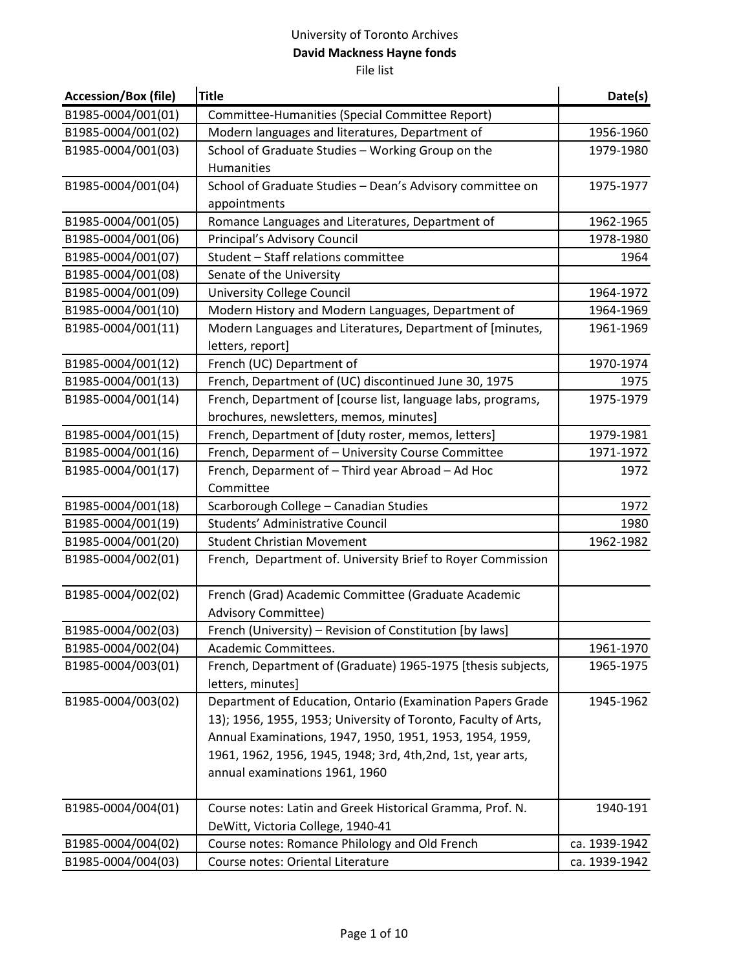| <b>Accession/Box (file)</b> | <b>Title</b>                                                   | Date(s)       |
|-----------------------------|----------------------------------------------------------------|---------------|
| B1985-0004/001(01)          | Committee-Humanities (Special Committee Report)                |               |
| B1985-0004/001(02)          | Modern languages and literatures, Department of                | 1956-1960     |
| B1985-0004/001(03)          | School of Graduate Studies - Working Group on the              | 1979-1980     |
|                             | Humanities                                                     |               |
| B1985-0004/001(04)          | School of Graduate Studies - Dean's Advisory committee on      | 1975-1977     |
|                             | appointments                                                   |               |
| B1985-0004/001(05)          | Romance Languages and Literatures, Department of               | 1962-1965     |
| B1985-0004/001(06)          | Principal's Advisory Council                                   | 1978-1980     |
| B1985-0004/001(07)          | Student - Staff relations committee                            | 1964          |
| B1985-0004/001(08)          | Senate of the University                                       |               |
| B1985-0004/001(09)          | University College Council                                     | 1964-1972     |
| B1985-0004/001(10)          | Modern History and Modern Languages, Department of             | 1964-1969     |
| B1985-0004/001(11)          | Modern Languages and Literatures, Department of [minutes,      | 1961-1969     |
|                             | letters, report]                                               |               |
| B1985-0004/001(12)          | French (UC) Department of                                      | 1970-1974     |
| B1985-0004/001(13)          | French, Department of (UC) discontinued June 30, 1975          | 1975          |
| B1985-0004/001(14)          | French, Department of [course list, language labs, programs,   | 1975-1979     |
|                             | brochures, newsletters, memos, minutes]                        |               |
| B1985-0004/001(15)          | French, Department of [duty roster, memos, letters]            | 1979-1981     |
| B1985-0004/001(16)          | French, Deparment of - University Course Committee             | 1971-1972     |
| B1985-0004/001(17)          | French, Deparment of - Third year Abroad - Ad Hoc              | 1972          |
|                             | Committee                                                      |               |
| B1985-0004/001(18)          | Scarborough College - Canadian Studies                         | 1972          |
| B1985-0004/001(19)          | Students' Administrative Council                               | 1980          |
| B1985-0004/001(20)          | <b>Student Christian Movement</b>                              | 1962-1982     |
| B1985-0004/002(01)          | French, Department of. University Brief to Royer Commission    |               |
| B1985-0004/002(02)          | French (Grad) Academic Committee (Graduate Academic            |               |
|                             | <b>Advisory Committee)</b>                                     |               |
| B1985-0004/002(03)          | French (University) - Revision of Constitution [by laws]       |               |
| B1985-0004/002(04)          | Academic Committees.                                           | 1961-1970     |
| B1985-0004/003(01)          | French, Department of (Graduate) 1965-1975 [thesis subjects,   | 1965-1975     |
|                             | letters, minutes]                                              |               |
| B1985-0004/003(02)          | Department of Education, Ontario (Examination Papers Grade     | 1945-1962     |
|                             | 13); 1956, 1955, 1953; University of Toronto, Faculty of Arts, |               |
|                             | Annual Examinations, 1947, 1950, 1951, 1953, 1954, 1959,       |               |
|                             | 1961, 1962, 1956, 1945, 1948; 3rd, 4th, 2nd, 1st, year arts,   |               |
|                             | annual examinations 1961, 1960                                 |               |
| B1985-0004/004(01)          | Course notes: Latin and Greek Historical Gramma, Prof. N.      | 1940-191      |
|                             | DeWitt, Victoria College, 1940-41                              |               |
| B1985-0004/004(02)          | Course notes: Romance Philology and Old French                 | ca. 1939-1942 |
| B1985-0004/004(03)          | Course notes: Oriental Literature                              | ca. 1939-1942 |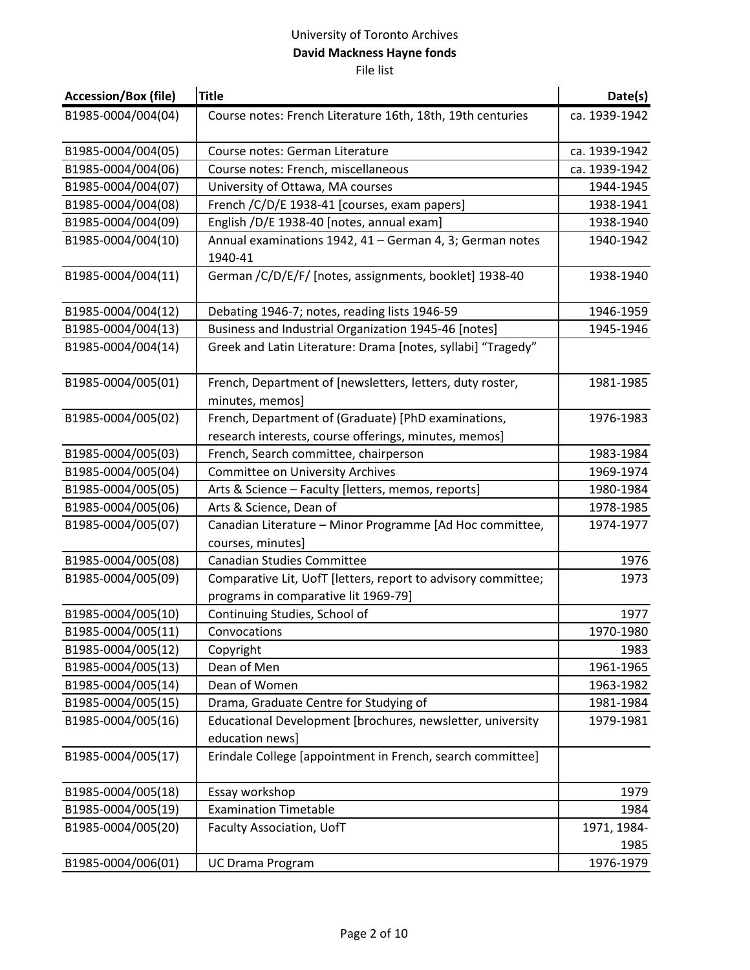| <b>Accession/Box (file)</b> | <b>Title</b>                                                                 | Date(s)       |
|-----------------------------|------------------------------------------------------------------------------|---------------|
| B1985-0004/004(04)          | Course notes: French Literature 16th, 18th, 19th centuries                   | ca. 1939-1942 |
| B1985-0004/004(05)          | Course notes: German Literature                                              | ca. 1939-1942 |
| B1985-0004/004(06)          | Course notes: French, miscellaneous                                          | ca. 1939-1942 |
| B1985-0004/004(07)          | University of Ottawa, MA courses                                             | 1944-1945     |
| B1985-0004/004(08)          | French / C/D/E 1938-41 [courses, exam papers]                                | 1938-1941     |
| B1985-0004/004(09)          | English /D/E 1938-40 [notes, annual exam]                                    | 1938-1940     |
| B1985-0004/004(10)          | Annual examinations 1942, 41 - German 4, 3; German notes                     | 1940-1942     |
|                             | 1940-41                                                                      |               |
| B1985-0004/004(11)          | German / C/D/E/F/ [notes, assignments, booklet] 1938-40                      | 1938-1940     |
| B1985-0004/004(12)          | Debating 1946-7; notes, reading lists 1946-59                                | 1946-1959     |
| B1985-0004/004(13)          | Business and Industrial Organization 1945-46 [notes]                         | 1945-1946     |
| B1985-0004/004(14)          | Greek and Latin Literature: Drama [notes, syllabi] "Tragedy"                 |               |
| B1985-0004/005(01)          | French, Department of [newsletters, letters, duty roster,<br>minutes, memos] | 1981-1985     |
| B1985-0004/005(02)          | French, Department of (Graduate) [PhD examinations,                          | 1976-1983     |
|                             | research interests, course offerings, minutes, memos]                        |               |
| B1985-0004/005(03)          | French, Search committee, chairperson                                        | 1983-1984     |
| B1985-0004/005(04)          | Committee on University Archives                                             | 1969-1974     |
| B1985-0004/005(05)          | Arts & Science - Faculty [letters, memos, reports]                           | 1980-1984     |
| B1985-0004/005(06)          | Arts & Science, Dean of                                                      | 1978-1985     |
| B1985-0004/005(07)          | Canadian Literature - Minor Programme [Ad Hoc committee,                     | 1974-1977     |
|                             | courses, minutes]                                                            |               |
| B1985-0004/005(08)          | <b>Canadian Studies Committee</b>                                            | 1976          |
| B1985-0004/005(09)          | Comparative Lit, UofT [letters, report to advisory committee;                | 1973          |
|                             | programs in comparative lit 1969-79]                                         |               |
| B1985-0004/005(10)          | Continuing Studies, School of                                                | 1977          |
| B1985-0004/005(11)          | Convocations                                                                 | 1970-1980     |
| B1985-0004/005(12)          | Copyright                                                                    | 1983          |
| B1985-0004/005(13)          | Dean of Men                                                                  | 1961-1965     |
| B1985-0004/005(14)          | Dean of Women                                                                | 1963-1982     |
| B1985-0004/005(15)          | Drama, Graduate Centre for Studying of                                       | 1981-1984     |
| B1985-0004/005(16)          | Educational Development [brochures, newsletter, university                   | 1979-1981     |
|                             | education news]                                                              |               |
| B1985-0004/005(17)          | Erindale College [appointment in French, search committee]                   |               |
| B1985-0004/005(18)          | Essay workshop                                                               | 1979          |
| B1985-0004/005(19)          | <b>Examination Timetable</b>                                                 | 1984          |
| B1985-0004/005(20)          | Faculty Association, UofT                                                    | 1971, 1984-   |
|                             |                                                                              | 1985          |
| B1985-0004/006(01)          | <b>UC Drama Program</b>                                                      | 1976-1979     |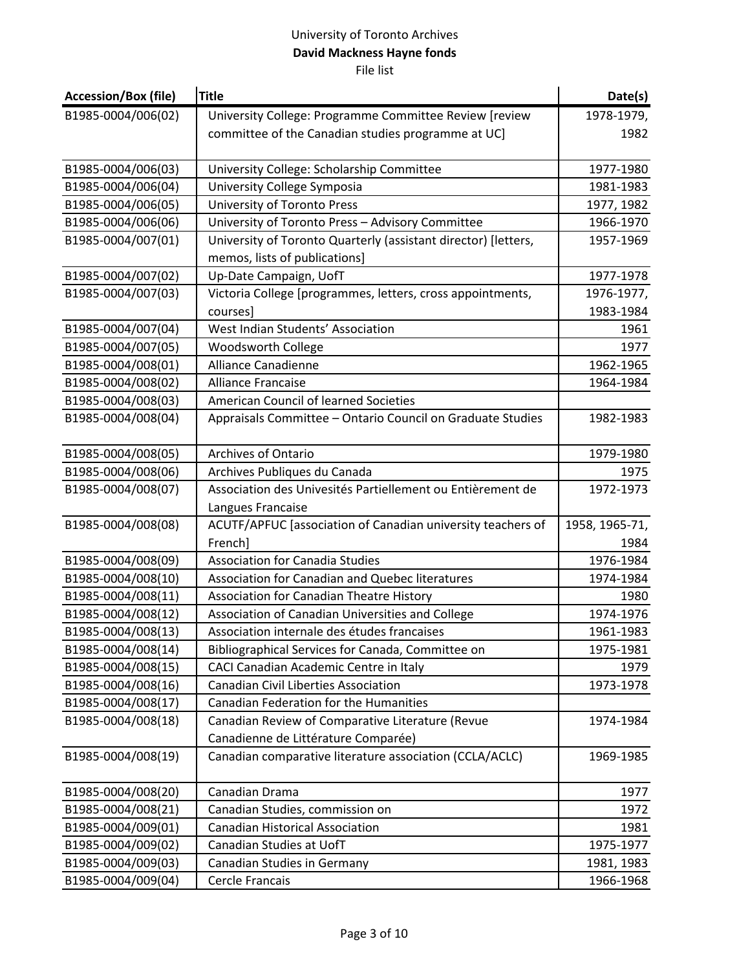| <b>Accession/Box (file)</b> | <b>Title</b>                                                   | Date(s)        |
|-----------------------------|----------------------------------------------------------------|----------------|
| B1985-0004/006(02)          | University College: Programme Committee Review [review         | 1978-1979,     |
|                             | committee of the Canadian studies programme at UC]             | 1982           |
|                             |                                                                |                |
| B1985-0004/006(03)          | University College: Scholarship Committee                      | 1977-1980      |
| B1985-0004/006(04)          | University College Symposia                                    | 1981-1983      |
| B1985-0004/006(05)          | University of Toronto Press                                    | 1977, 1982     |
| B1985-0004/006(06)          | University of Toronto Press - Advisory Committee               | 1966-1970      |
| B1985-0004/007(01)          | University of Toronto Quarterly (assistant director) [letters, | 1957-1969      |
|                             | memos, lists of publications]                                  |                |
| B1985-0004/007(02)          | Up-Date Campaign, UofT                                         | 1977-1978      |
| B1985-0004/007(03)          | Victoria College [programmes, letters, cross appointments,     | 1976-1977,     |
|                             | courses]                                                       | 1983-1984      |
| B1985-0004/007(04)          | West Indian Students' Association                              | 1961           |
| B1985-0004/007(05)          | Woodsworth College                                             | 1977           |
| B1985-0004/008(01)          | <b>Alliance Canadienne</b>                                     | 1962-1965      |
| B1985-0004/008(02)          | <b>Alliance Francaise</b>                                      | 1964-1984      |
| B1985-0004/008(03)          | <b>American Council of learned Societies</b>                   |                |
| B1985-0004/008(04)          | Appraisals Committee - Ontario Council on Graduate Studies     | 1982-1983      |
|                             |                                                                |                |
| B1985-0004/008(05)          | <b>Archives of Ontario</b>                                     | 1979-1980      |
| B1985-0004/008(06)          | Archives Publiques du Canada                                   | 1975           |
| B1985-0004/008(07)          | Association des Univesités Partiellement ou Entièrement de     | 1972-1973      |
|                             | Langues Francaise                                              |                |
| B1985-0004/008(08)          | ACUTF/APFUC [association of Canadian university teachers of    | 1958, 1965-71, |
|                             | French]                                                        | 1984           |
| B1985-0004/008(09)          | <b>Association for Canadia Studies</b>                         | 1976-1984      |
| B1985-0004/008(10)          | Association for Canadian and Quebec literatures                | 1974-1984      |
| B1985-0004/008(11)          | Association for Canadian Theatre History                       | 1980           |
| B1985-0004/008(12)          | Association of Canadian Universities and College               | 1974-1976      |
| B1985-0004/008(13)          | Association internale des études francaises                    | 1961-1983      |
| B1985-0004/008(14)          | Bibliographical Services for Canada, Committee on              | 1975-1981      |
| B1985-0004/008(15)          | CACI Canadian Academic Centre in Italy                         | 1979           |
| B1985-0004/008(16)          | <b>Canadian Civil Liberties Association</b>                    | 1973-1978      |
| B1985-0004/008(17)          | Canadian Federation for the Humanities                         |                |
| B1985-0004/008(18)          | Canadian Review of Comparative Literature (Revue               | 1974-1984      |
|                             | Canadienne de Littérature Comparée)                            |                |
| B1985-0004/008(19)          | Canadian comparative literature association (CCLA/ACLC)        | 1969-1985      |
|                             |                                                                |                |
| B1985-0004/008(20)          | Canadian Drama                                                 | 1977           |
| B1985-0004/008(21)          | Canadian Studies, commission on                                | 1972           |
| B1985-0004/009(01)          | <b>Canadian Historical Association</b>                         | 1981           |
| B1985-0004/009(02)          | Canadian Studies at UofT                                       | 1975-1977      |
| B1985-0004/009(03)          | Canadian Studies in Germany                                    | 1981, 1983     |
| B1985-0004/009(04)          | Cercle Francais                                                | 1966-1968      |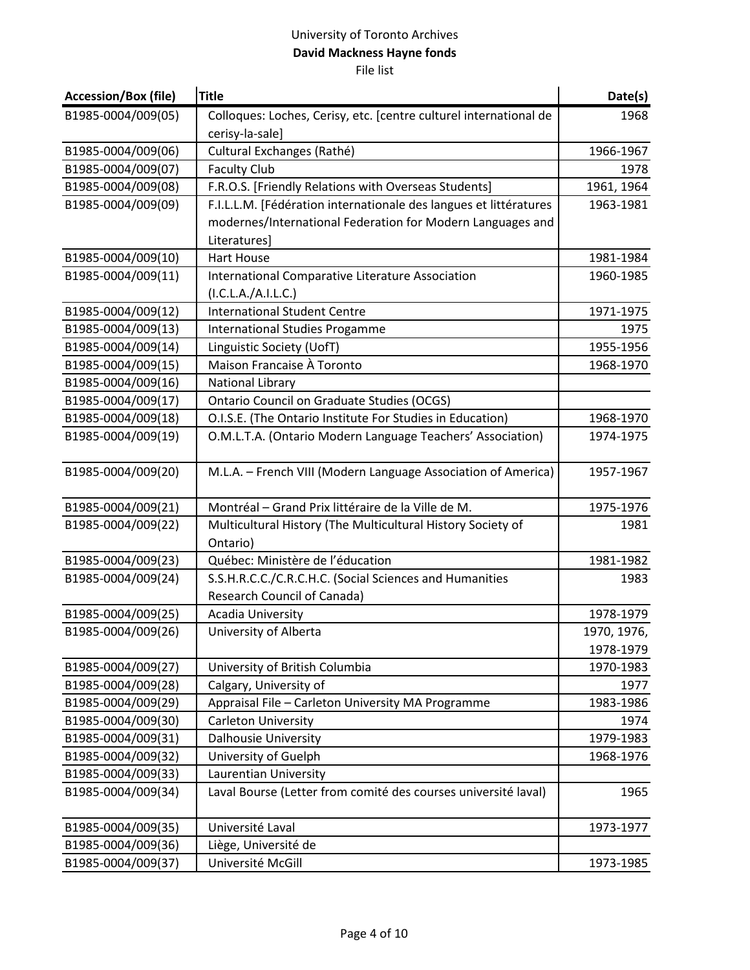| <b>Accession/Box (file)</b> | Title                                                                   | Date(s)     |
|-----------------------------|-------------------------------------------------------------------------|-------------|
| B1985-0004/009(05)          | Colloques: Loches, Cerisy, etc. [centre culturel international de       | 1968        |
|                             | cerisy-la-sale]                                                         |             |
| B1985-0004/009(06)          | Cultural Exchanges (Rathé)                                              | 1966-1967   |
| B1985-0004/009(07)          | <b>Faculty Club</b>                                                     | 1978        |
| B1985-0004/009(08)          | F.R.O.S. [Friendly Relations with Overseas Students]                    | 1961, 1964  |
| B1985-0004/009(09)          | F.I.L.L.M. [Fédération internationale des langues et littératures       | 1963-1981   |
|                             | modernes/International Federation for Modern Languages and              |             |
|                             | Literatures]                                                            |             |
| B1985-0004/009(10)          | <b>Hart House</b>                                                       | 1981-1984   |
| B1985-0004/009(11)          | International Comparative Literature Association                        | 1960-1985   |
|                             | (I.C.L.A./A.I.L.C.)                                                     |             |
| B1985-0004/009(12)          | <b>International Student Centre</b>                                     | 1971-1975   |
| B1985-0004/009(13)          | <b>International Studies Progamme</b>                                   | 1975        |
| B1985-0004/009(14)          | Linguistic Society (UofT)                                               | 1955-1956   |
| B1985-0004/009(15)          | Maison Francaise À Toronto                                              | 1968-1970   |
| B1985-0004/009(16)          | National Library                                                        |             |
| B1985-0004/009(17)          | <b>Ontario Council on Graduate Studies (OCGS)</b>                       |             |
| B1985-0004/009(18)          | O.I.S.E. (The Ontario Institute For Studies in Education)               | 1968-1970   |
| B1985-0004/009(19)          | O.M.L.T.A. (Ontario Modern Language Teachers' Association)              | 1974-1975   |
|                             |                                                                         |             |
| B1985-0004/009(20)          | M.L.A. - French VIII (Modern Language Association of America)           | 1957-1967   |
| B1985-0004/009(21)          | Montréal - Grand Prix littéraire de la Ville de M.                      | 1975-1976   |
| B1985-0004/009(22)          | Multicultural History (The Multicultural History Society of<br>Ontario) | 1981        |
| B1985-0004/009(23)          | Québec: Ministère de l'éducation                                        | 1981-1982   |
| B1985-0004/009(24)          | S.S.H.R.C.C./C.R.C.H.C. (Social Sciences and Humanities                 | 1983        |
|                             | <b>Research Council of Canada)</b>                                      |             |
| B1985-0004/009(25)          | Acadia University                                                       | 1978-1979   |
| B1985-0004/009(26)          | University of Alberta                                                   | 1970, 1976, |
|                             |                                                                         | 1978-1979   |
| B1985-0004/009(27)          | University of British Columbia                                          | 1970-1983   |
| B1985-0004/009(28)          | Calgary, University of                                                  | 1977        |
| B1985-0004/009(29)          | Appraisal File - Carleton University MA Programme                       | 1983-1986   |
| B1985-0004/009(30)          | <b>Carleton University</b>                                              | 1974        |
| B1985-0004/009(31)          | <b>Dalhousie University</b>                                             | 1979-1983   |
| B1985-0004/009(32)          | University of Guelph                                                    | 1968-1976   |
| B1985-0004/009(33)          | Laurentian University                                                   |             |
| B1985-0004/009(34)          | Laval Bourse (Letter from comité des courses université laval)          | 1965        |
|                             |                                                                         |             |
| B1985-0004/009(35)          | Université Laval                                                        | 1973-1977   |
| B1985-0004/009(36)          | Liège, Université de                                                    |             |
| B1985-0004/009(37)          | Université McGill                                                       | 1973-1985   |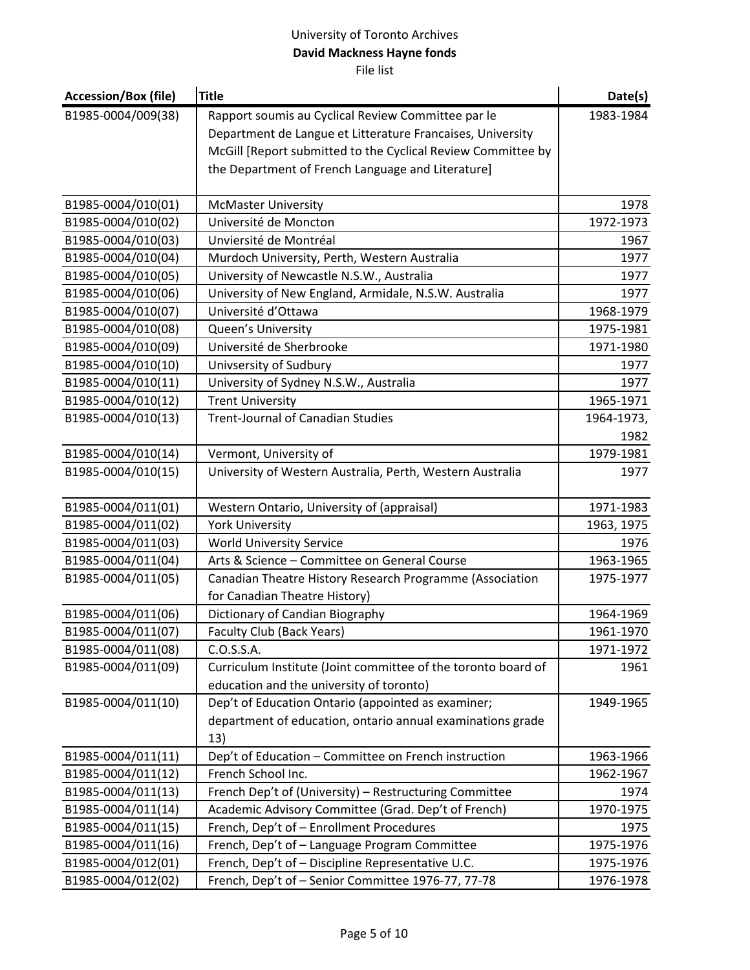| <b>Accession/Box (file)</b> | <b>Title</b>                                                                              | Date(s)    |
|-----------------------------|-------------------------------------------------------------------------------------------|------------|
| B1985-0004/009(38)          | Rapport soumis au Cyclical Review Committee par le                                        | 1983-1984  |
|                             | Department de Langue et Litterature Francaises, University                                |            |
|                             | McGill [Report submitted to the Cyclical Review Committee by                              |            |
|                             | the Department of French Language and Literature]                                         |            |
| B1985-0004/010(01)          | <b>McMaster University</b>                                                                | 1978       |
| B1985-0004/010(02)          | Université de Moncton                                                                     | 1972-1973  |
| B1985-0004/010(03)          | Unviersité de Montréal                                                                    | 1967       |
| B1985-0004/010(04)          | Murdoch University, Perth, Western Australia                                              | 1977       |
| B1985-0004/010(05)          | University of Newcastle N.S.W., Australia                                                 | 1977       |
| B1985-0004/010(06)          | University of New England, Armidale, N.S.W. Australia                                     | 1977       |
| B1985-0004/010(07)          | Université d'Ottawa                                                                       | 1968-1979  |
| B1985-0004/010(08)          | Queen's University                                                                        | 1975-1981  |
| B1985-0004/010(09)          | Université de Sherbrooke                                                                  | 1971-1980  |
| B1985-0004/010(10)          | Univsersity of Sudbury                                                                    | 1977       |
| B1985-0004/010(11)          | University of Sydney N.S.W., Australia                                                    | 1977       |
| B1985-0004/010(12)          | <b>Trent University</b>                                                                   | 1965-1971  |
| B1985-0004/010(13)          | <b>Trent-Journal of Canadian Studies</b>                                                  | 1964-1973, |
|                             |                                                                                           | 1982       |
| B1985-0004/010(14)          | Vermont, University of                                                                    | 1979-1981  |
| B1985-0004/010(15)          | University of Western Australia, Perth, Western Australia                                 | 1977       |
| B1985-0004/011(01)          | Western Ontario, University of (appraisal)                                                | 1971-1983  |
| B1985-0004/011(02)          | <b>York University</b>                                                                    | 1963, 1975 |
| B1985-0004/011(03)          | <b>World University Service</b>                                                           | 1976       |
| B1985-0004/011(04)          | Arts & Science - Committee on General Course                                              | 1963-1965  |
| B1985-0004/011(05)          | Canadian Theatre History Research Programme (Association<br>for Canadian Theatre History) | 1975-1977  |
| B1985-0004/011(06)          | Dictionary of Candian Biography                                                           | 1964-1969  |
| B1985-0004/011(07)          | Faculty Club (Back Years)                                                                 | 1961-1970  |
| B1985-0004/011(08)          | C.O.S.S.A.                                                                                | 1971-1972  |
| B1985-0004/011(09)          | Curriculum Institute (Joint committee of the toronto board of                             | 1961       |
|                             | education and the university of toronto)                                                  |            |
| B1985-0004/011(10)          | Dep't of Education Ontario (appointed as examiner;                                        | 1949-1965  |
|                             | department of education, ontario annual examinations grade<br>13)                         |            |
| B1985-0004/011(11)          | Dep't of Education - Committee on French instruction                                      | 1963-1966  |
| B1985-0004/011(12)          | French School Inc.                                                                        | 1962-1967  |
| B1985-0004/011(13)          | French Dep't of (University) - Restructuring Committee                                    | 1974       |
| B1985-0004/011(14)          | Academic Advisory Committee (Grad. Dep't of French)                                       | 1970-1975  |
| B1985-0004/011(15)          | French, Dep't of - Enrollment Procedures                                                  | 1975       |
| B1985-0004/011(16)          | French, Dep't of - Language Program Committee                                             | 1975-1976  |
| B1985-0004/012(01)          | French, Dep't of - Discipline Representative U.C.                                         | 1975-1976  |
| B1985-0004/012(02)          | French, Dep't of - Senior Committee 1976-77, 77-78                                        | 1976-1978  |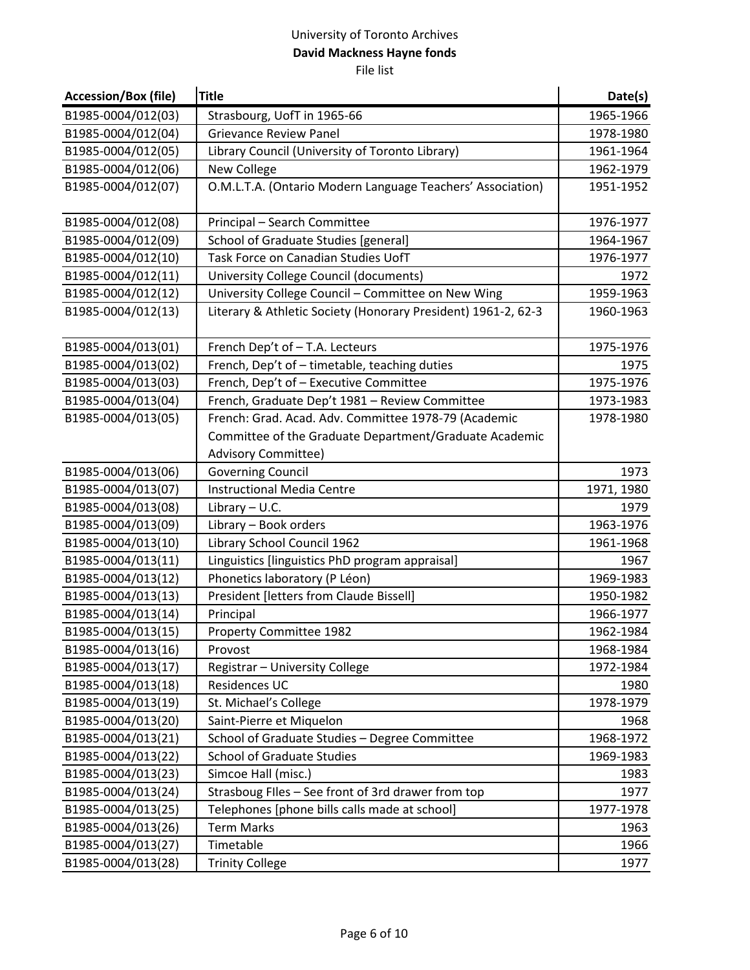| <b>Accession/Box (file)</b> | <b>Title</b>                                                  | Date(s)    |
|-----------------------------|---------------------------------------------------------------|------------|
| B1985-0004/012(03)          | Strasbourg, UofT in 1965-66                                   | 1965-1966  |
| B1985-0004/012(04)          | <b>Grievance Review Panel</b>                                 | 1978-1980  |
| B1985-0004/012(05)          | Library Council (University of Toronto Library)               | 1961-1964  |
| B1985-0004/012(06)          | <b>New College</b>                                            | 1962-1979  |
| B1985-0004/012(07)          | O.M.L.T.A. (Ontario Modern Language Teachers' Association)    | 1951-1952  |
| B1985-0004/012(08)          | Principal - Search Committee                                  | 1976-1977  |
| B1985-0004/012(09)          | School of Graduate Studies [general]                          | 1964-1967  |
| B1985-0004/012(10)          | Task Force on Canadian Studies UofT                           | 1976-1977  |
| B1985-0004/012(11)          | University College Council (documents)                        | 1972       |
| B1985-0004/012(12)          | University College Council - Committee on New Wing            | 1959-1963  |
| B1985-0004/012(13)          | Literary & Athletic Society (Honorary President) 1961-2, 62-3 | 1960-1963  |
| B1985-0004/013(01)          | French Dep't of - T.A. Lecteurs                               | 1975-1976  |
| B1985-0004/013(02)          | French, Dep't of - timetable, teaching duties                 | 1975       |
| B1985-0004/013(03)          | French, Dep't of - Executive Committee                        | 1975-1976  |
| B1985-0004/013(04)          | French, Graduate Dep't 1981 - Review Committee                | 1973-1983  |
| B1985-0004/013(05)          | French: Grad. Acad. Adv. Committee 1978-79 (Academic          | 1978-1980  |
|                             | Committee of the Graduate Department/Graduate Academic        |            |
|                             | <b>Advisory Committee)</b>                                    |            |
| B1985-0004/013(06)          | <b>Governing Council</b>                                      | 1973       |
| B1985-0004/013(07)          | <b>Instructional Media Centre</b>                             | 1971, 1980 |
| B1985-0004/013(08)          | Library $- U.C.$                                              | 1979       |
| B1985-0004/013(09)          | Library - Book orders                                         | 1963-1976  |
| B1985-0004/013(10)          | Library School Council 1962                                   | 1961-1968  |
| B1985-0004/013(11)          | Linguistics [linguistics PhD program appraisal]               | 1967       |
| B1985-0004/013(12)          | Phonetics laboratory (P Léon)                                 | 1969-1983  |
| B1985-0004/013(13)          | President [letters from Claude Bissell]                       | 1950-1982  |
| B1985-0004/013(14)          | Principal                                                     | 1966-1977  |
| B1985-0004/013(15)          | Property Committee 1982                                       | 1962-1984  |
| B1985-0004/013(16)          | Provost                                                       | 1968-1984  |
| B1985-0004/013(17)          | Registrar - University College                                | 1972-1984  |
| B1985-0004/013(18)          | Residences UC                                                 | 1980       |
| B1985-0004/013(19)          | St. Michael's College                                         | 1978-1979  |
| B1985-0004/013(20)          | Saint-Pierre et Miquelon                                      | 1968       |
| B1985-0004/013(21)          | School of Graduate Studies - Degree Committee                 | 1968-1972  |
| B1985-0004/013(22)          | <b>School of Graduate Studies</b>                             | 1969-1983  |
| B1985-0004/013(23)          | Simcoe Hall (misc.)                                           | 1983       |
| B1985-0004/013(24)          | Strasboug Files - See front of 3rd drawer from top            | 1977       |
| B1985-0004/013(25)          | Telephones [phone bills calls made at school]                 | 1977-1978  |
| B1985-0004/013(26)          | <b>Term Marks</b>                                             | 1963       |
| B1985-0004/013(27)          | Timetable                                                     | 1966       |
| B1985-0004/013(28)          | <b>Trinity College</b>                                        | 1977       |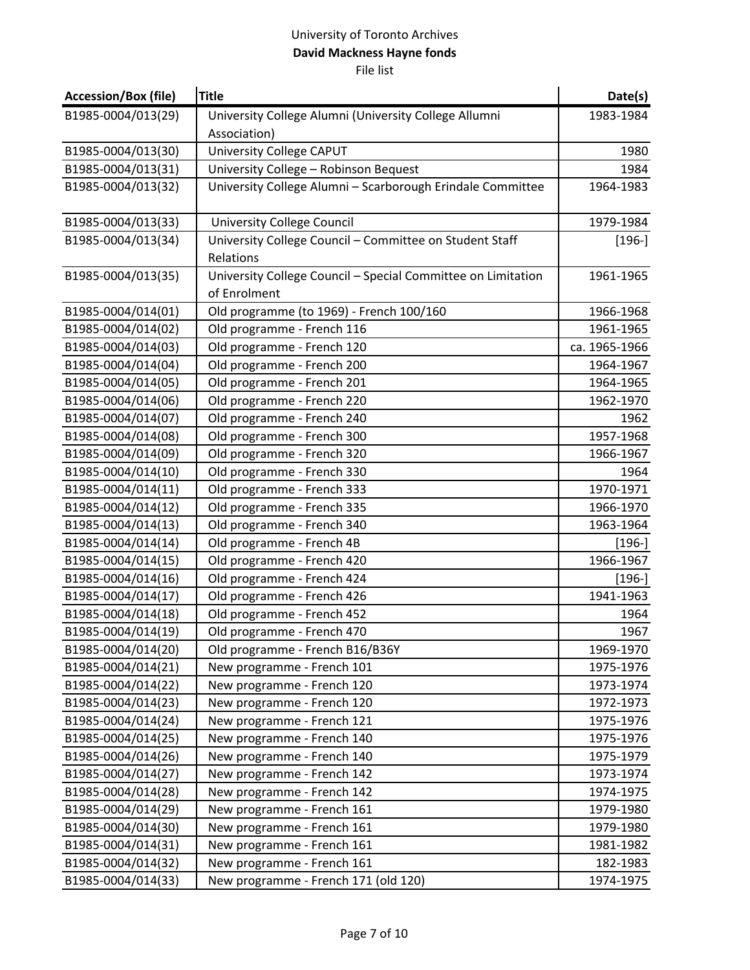| <b>Accession/Box (file)</b> | <b>Title</b>                                                                 | Date(s)       |
|-----------------------------|------------------------------------------------------------------------------|---------------|
| B1985-0004/013(29)          | University College Alumni (University College Allumni                        | 1983-1984     |
|                             | Association)                                                                 |               |
| B1985-0004/013(30)          | <b>University College CAPUT</b>                                              | 1980          |
| B1985-0004/013(31)          | University College - Robinson Bequest                                        | 1984          |
| B1985-0004/013(32)          | University College Alumni - Scarborough Erindale Committee                   | 1964-1983     |
| B1985-0004/013(33)          | <b>University College Council</b>                                            | 1979-1984     |
| B1985-0004/013(34)          | University College Council - Committee on Student Staff                      | $[196-]$      |
|                             | Relations                                                                    |               |
| B1985-0004/013(35)          | University College Council - Special Committee on Limitation<br>of Enrolment | 1961-1965     |
| B1985-0004/014(01)          | Old programme (to 1969) - French 100/160                                     | 1966-1968     |
| B1985-0004/014(02)          | Old programme - French 116                                                   | 1961-1965     |
| B1985-0004/014(03)          | Old programme - French 120                                                   | ca. 1965-1966 |
| B1985-0004/014(04)          | Old programme - French 200                                                   | 1964-1967     |
| B1985-0004/014(05)          | Old programme - French 201                                                   | 1964-1965     |
| B1985-0004/014(06)          | Old programme - French 220                                                   | 1962-1970     |
| B1985-0004/014(07)          | Old programme - French 240                                                   | 1962          |
| B1985-0004/014(08)          | Old programme - French 300                                                   | 1957-1968     |
| B1985-0004/014(09)          | Old programme - French 320                                                   | 1966-1967     |
| B1985-0004/014(10)          | Old programme - French 330                                                   | 1964          |
| B1985-0004/014(11)          | Old programme - French 333                                                   | 1970-1971     |
| B1985-0004/014(12)          | Old programme - French 335                                                   | 1966-1970     |
| B1985-0004/014(13)          | Old programme - French 340                                                   | 1963-1964     |
| B1985-0004/014(14)          | Old programme - French 4B                                                    | $[196-]$      |
| B1985-0004/014(15)          | Old programme - French 420                                                   | 1966-1967     |
| B1985-0004/014(16)          | Old programme - French 424                                                   | $[196-]$      |
| B1985-0004/014(17)          | Old programme - French 426                                                   | 1941-1963     |
| B1985-0004/014(18)          | Old programme - French 452                                                   | 1964          |
| B1985-0004/014(19)          | Old programme - French 470                                                   | 1967          |
| B1985-0004/014(20)          | Old programme - French B16/B36Y                                              | 1969-1970     |
| B1985-0004/014(21)          | New programme - French 101                                                   | 1975-1976     |
| B1985-0004/014(22)          | New programme - French 120                                                   | 1973-1974     |
| B1985-0004/014(23)          | New programme - French 120                                                   | 1972-1973     |
| B1985-0004/014(24)          | New programme - French 121                                                   | 1975-1976     |
| B1985-0004/014(25)          | New programme - French 140                                                   | 1975-1976     |
| B1985-0004/014(26)          | New programme - French 140                                                   | 1975-1979     |
| B1985-0004/014(27)          | New programme - French 142                                                   | 1973-1974     |
| B1985-0004/014(28)          | New programme - French 142                                                   | 1974-1975     |
| B1985-0004/014(29)          | New programme - French 161                                                   | 1979-1980     |
| B1985-0004/014(30)          | New programme - French 161                                                   | 1979-1980     |
| B1985-0004/014(31)          | New programme - French 161                                                   | 1981-1982     |
| B1985-0004/014(32)          | New programme - French 161                                                   | 182-1983      |
| B1985-0004/014(33)          | New programme - French 171 (old 120)                                         | 1974-1975     |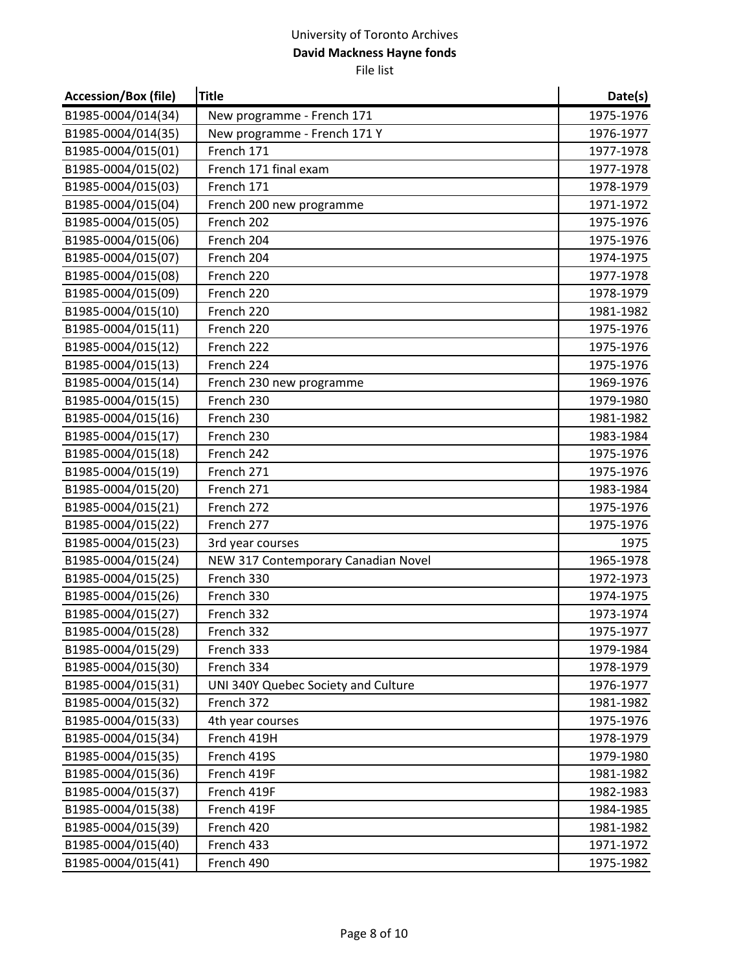| <b>Accession/Box (file)</b> | <b>Title</b>                        | Date(s)   |
|-----------------------------|-------------------------------------|-----------|
| B1985-0004/014(34)          | New programme - French 171          | 1975-1976 |
| B1985-0004/014(35)          | New programme - French 171 Y        | 1976-1977 |
| B1985-0004/015(01)          | French 171                          | 1977-1978 |
| B1985-0004/015(02)          | French 171 final exam               | 1977-1978 |
| B1985-0004/015(03)          | French 171                          | 1978-1979 |
| B1985-0004/015(04)          | French 200 new programme            | 1971-1972 |
| B1985-0004/015(05)          | French 202                          | 1975-1976 |
| B1985-0004/015(06)          | French 204                          | 1975-1976 |
| B1985-0004/015(07)          | French 204                          | 1974-1975 |
| B1985-0004/015(08)          | French 220                          | 1977-1978 |
| B1985-0004/015(09)          | French 220                          | 1978-1979 |
| B1985-0004/015(10)          | French 220                          | 1981-1982 |
| B1985-0004/015(11)          | French 220                          | 1975-1976 |
| B1985-0004/015(12)          | French 222                          | 1975-1976 |
| B1985-0004/015(13)          | French 224                          | 1975-1976 |
| B1985-0004/015(14)          | French 230 new programme            | 1969-1976 |
| B1985-0004/015(15)          | French 230                          | 1979-1980 |
| B1985-0004/015(16)          | French 230                          | 1981-1982 |
| B1985-0004/015(17)          | French 230                          | 1983-1984 |
| B1985-0004/015(18)          | French 242                          | 1975-1976 |
| B1985-0004/015(19)          | French 271                          | 1975-1976 |
| B1985-0004/015(20)          | French 271                          | 1983-1984 |
| B1985-0004/015(21)          | French 272                          | 1975-1976 |
| B1985-0004/015(22)          | French 277                          | 1975-1976 |
| B1985-0004/015(23)          | 3rd year courses                    | 1975      |
| B1985-0004/015(24)          | NEW 317 Contemporary Canadian Novel | 1965-1978 |
| B1985-0004/015(25)          | French 330                          | 1972-1973 |
| B1985-0004/015(26)          | French 330                          | 1974-1975 |
| B1985-0004/015(27)          | French 332                          | 1973-1974 |
| B1985-0004/015(28)          | French 332                          | 1975-1977 |
| B1985-0004/015(29)          | French 333                          | 1979-1984 |
| B1985-0004/015(30)          | French 334                          | 1978-1979 |
| B1985-0004/015(31)          | UNI 340Y Quebec Society and Culture | 1976-1977 |
| B1985-0004/015(32)          | French 372                          | 1981-1982 |
| B1985-0004/015(33)          | 4th year courses                    | 1975-1976 |
| B1985-0004/015(34)          | French 419H                         | 1978-1979 |
| B1985-0004/015(35)          | French 419S                         | 1979-1980 |
| B1985-0004/015(36)          | French 419F                         | 1981-1982 |
| B1985-0004/015(37)          | French 419F                         | 1982-1983 |
| B1985-0004/015(38)          | French 419F                         | 1984-1985 |
| B1985-0004/015(39)          | French 420                          | 1981-1982 |
| B1985-0004/015(40)          | French 433                          | 1971-1972 |
| B1985-0004/015(41)          | French 490                          | 1975-1982 |
|                             |                                     |           |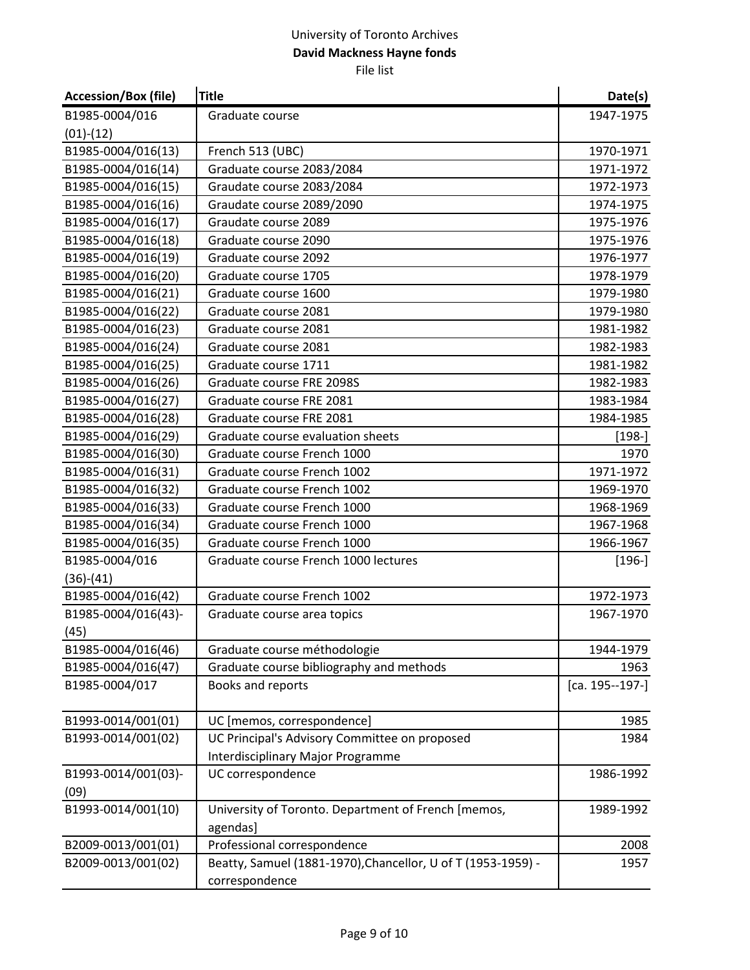| <b>Accession/Box (file)</b> | <b>Title</b>                                                 | Date(s)             |
|-----------------------------|--------------------------------------------------------------|---------------------|
| B1985-0004/016              | Graduate course                                              | 1947-1975           |
| $(01)-(12)$                 |                                                              |                     |
| B1985-0004/016(13)          | French 513 (UBC)                                             | 1970-1971           |
| B1985-0004/016(14)          | Graduate course 2083/2084                                    | 1971-1972           |
| B1985-0004/016(15)          | Graudate course 2083/2084                                    | 1972-1973           |
| B1985-0004/016(16)          | Graudate course 2089/2090                                    | 1974-1975           |
| B1985-0004/016(17)          | Graudate course 2089                                         | 1975-1976           |
| B1985-0004/016(18)          | Graduate course 2090                                         | 1975-1976           |
| B1985-0004/016(19)          | Graduate course 2092                                         | 1976-1977           |
| B1985-0004/016(20)          | Graduate course 1705                                         | 1978-1979           |
| B1985-0004/016(21)          | Graduate course 1600                                         | 1979-1980           |
| B1985-0004/016(22)          | Graduate course 2081                                         | 1979-1980           |
| B1985-0004/016(23)          | Graduate course 2081                                         | 1981-1982           |
| B1985-0004/016(24)          | Graduate course 2081                                         | 1982-1983           |
| B1985-0004/016(25)          | Graduate course 1711                                         | 1981-1982           |
| B1985-0004/016(26)          | Graduate course FRE 2098S                                    | 1982-1983           |
| B1985-0004/016(27)          | Graduate course FRE 2081                                     | 1983-1984           |
| B1985-0004/016(28)          | Graduate course FRE 2081                                     | 1984-1985           |
| B1985-0004/016(29)          | Graduate course evaluation sheets                            | $[198-]$            |
| B1985-0004/016(30)          | Graduate course French 1000                                  | 1970                |
| B1985-0004/016(31)          | Graduate course French 1002                                  | 1971-1972           |
| B1985-0004/016(32)          | Graduate course French 1002                                  | 1969-1970           |
| B1985-0004/016(33)          | Graduate course French 1000                                  | 1968-1969           |
| B1985-0004/016(34)          | Graduate course French 1000                                  | 1967-1968           |
| B1985-0004/016(35)          | Graduate course French 1000                                  | 1966-1967           |
| B1985-0004/016              | Graduate course French 1000 lectures                         | $[196-]$            |
| $(36)-(41)$                 |                                                              |                     |
| B1985-0004/016(42)          | Graduate course French 1002                                  | 1972-1973           |
| B1985-0004/016(43)-         | Graduate course area topics                                  | 1967-1970           |
| (45)                        |                                                              |                     |
| B1985-0004/016(46)          | Graduate course méthodologie                                 | 1944-1979           |
| B1985-0004/016(47)          | Graduate course bibliography and methods                     | 1963                |
| B1985-0004/017              | Books and reports                                            | $[ca. 195 - 197 -]$ |
| B1993-0014/001(01)          | UC [memos, correspondence]                                   | 1985                |
| B1993-0014/001(02)          | UC Principal's Advisory Committee on proposed                | 1984                |
|                             | Interdisciplinary Major Programme                            |                     |
| B1993-0014/001(03)-         | UC correspondence                                            | 1986-1992           |
| (09)                        |                                                              |                     |
| B1993-0014/001(10)          | University of Toronto. Department of French [memos,          | 1989-1992           |
|                             | agendas]                                                     |                     |
| B2009-0013/001(01)          | Professional correspondence                                  | 2008                |
| B2009-0013/001(02)          | Beatty, Samuel (1881-1970), Chancellor, U of T (1953-1959) - | 1957                |
|                             | correspondence                                               |                     |